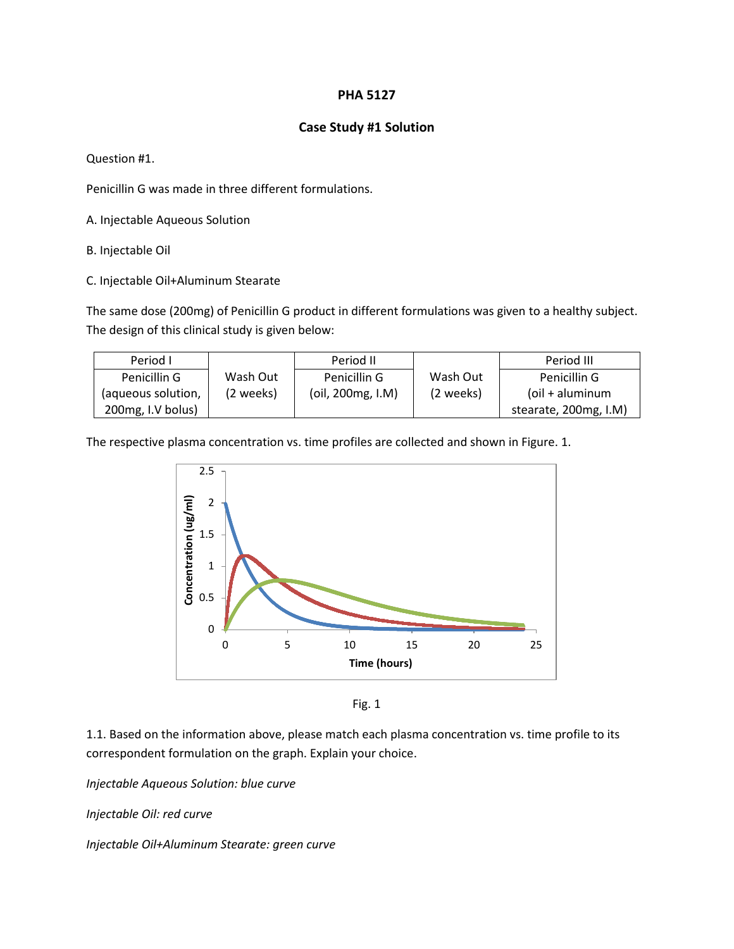## **PHA 5127**

## **Case Study #1 Solution**

Question #1.

Penicillin G was made in three different formulations.

A. Injectable Aqueous Solution

B. Injectable Oil

C. Injectable Oil+Aluminum Stearate

The same dose (200mg) of Penicillin G product in different formulations was given to a healthy subject. The design of this clinical study is given below:

| Period L           |            | Period II         |           | Period III            |
|--------------------|------------|-------------------|-----------|-----------------------|
| Penicillin G       | Wash Out   | Penicillin G      | Wash Out  | Penicillin G          |
| (aqueous solution, | (2 weeks). | (oil, 200mg, I.M) | (2 weeks) | (oil + aluminum       |
| 200mg, I.V bolus)  |            |                   |           | stearate, 200mg, I.M) |

The respective plasma concentration vs. time profiles are collected and shown in Figure. 1.



Fig. 1

1.1. Based on the information above, please match each plasma concentration vs. time profile to its correspondent formulation on the graph. Explain your choice.

*Injectable Aqueous Solution: blue curve*

*Injectable Oil: red curve* 

*Injectable Oil+Aluminum Stearate: green curve*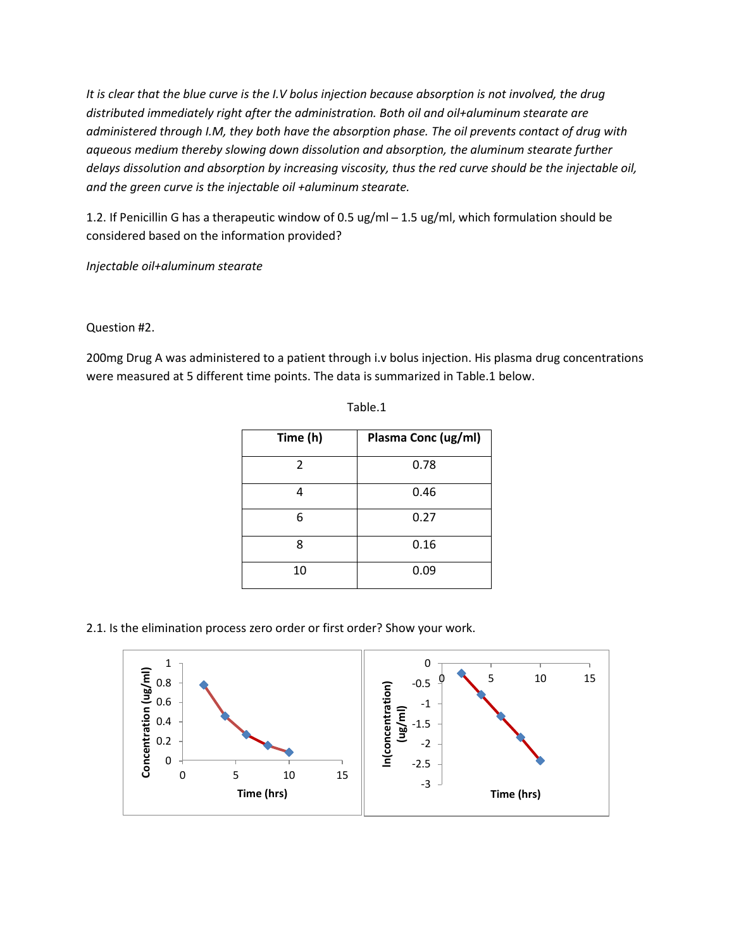*It is clear that the blue curve is the I.V bolus injection because absorption is not involved, the drug distributed immediately right after the administration. Both oil and oil+aluminum stearate are administered through I.M, they both have the absorption phase. The oil prevents contact of drug with aqueous medium thereby slowing down dissolution and absorption, the aluminum stearate further delays dissolution and absorption by increasing viscosity, thus the red curve should be the injectable oil, and the green curve is the injectable oil +aluminum stearate.* 

1.2. If Penicillin G has a therapeutic window of 0.5 ug/ml - 1.5 ug/ml, which formulation should be considered based on the information provided?

*Injectable oil+aluminum stearate*

Question #2.

200mg Drug A was administered to a patient through i.v bolus injection. His plasma drug concentrations were measured at 5 different time points. The data is summarized in Table.1 below.

| Time (h)       | Plasma Conc (ug/ml) |
|----------------|---------------------|
| $\overline{2}$ | 0.78                |
|                | 0.46                |
| 6              | 0.27                |
| 8              | 0.16                |
| 10             | 0.09                |

Table.1

2.1. Is the elimination process zero order or first order? Show your work.

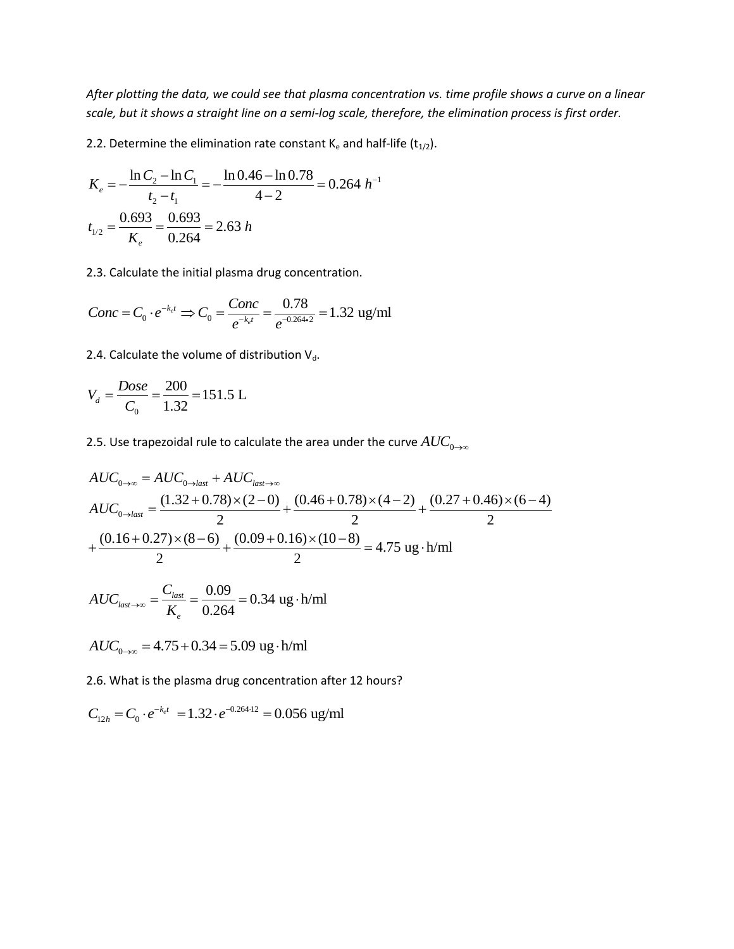*After plotting the data, we could see that plasma concentration vs. time profile shows a curve on a linear scale, but it shows a straight line on a semi-log scale, therefore, the elimination process is first order.*

2.2. Determine the elimination rate constant K<sub>e</sub> and half-life (t<sub>1/2</sub>).  
\n
$$
K_e = -\frac{\ln C_2 - \ln C_1}{t_2 - t_1} = -\frac{\ln 0.46 - \ln 0.78}{4 - 2} = 0.264 h^{-1}
$$
\n
$$
t_{1/2} = \frac{0.693}{K_e} = \frac{0.693}{0.264} = 2.63 h
$$

2.3. Calculate the initial plasma drug concentration.  
\n
$$
Conc = C_0 \cdot e^{-k_{e}t} \Rightarrow C_0 = \frac{Conc}{e^{-k_{e}t}} = \frac{0.78}{e^{-0.264 \cdot 2}} = 1.32 \text{ ug/ml}
$$

2.4. Calculate the volume of distribution  $V_d$ .

$$
V_d = \frac{Dose}{C_0} = \frac{200}{1.32} = 151.5 \text{ L}
$$

2.5. Use trapezoidal rule to calculate the area under the curve  $AUC_{0\rightarrow\infty}$ 

2.5. Use trapezoidal rule to calculate the area under the curve 
$$
AUC_{0\to\infty}
$$
  
\n
$$
AUC_{0\to\infty} = AUC_{0\to\text{last}} + AUC_{\text{last}\to\infty}
$$
\n
$$
AUC_{0\to\text{last}} = \frac{(1.32 + 0.78) \times (2 - 0)}{2} + \frac{(0.46 + 0.78) \times (4 - 2)}{2} + \frac{(0.27 + 0.46) \times (6 - 4)}{2}
$$
\n
$$
+ \frac{(0.16 + 0.27) \times (8 - 6)}{2} + \frac{(0.09 + 0.16) \times (10 - 8)}{2} = 4.75 \text{ ug} \cdot \text{h/ml}
$$

$$
AUC_{last \to \infty} = \frac{C_{last}}{K_e} = \frac{0.09}{0.264} = 0.34 \text{ ug} \cdot \text{h/ml}
$$

$$
AUC_{0\to\infty} = 4.75 + 0.34 = 5.09
$$
ug·h/ml

2.6. What is the plasma drug concentration after 12 hours?  
\n
$$
C_{12h} = C_0 \cdot e^{-k_e t} = 1.32 \cdot e^{-0.264 \cdot 12} = 0.056 \text{ ug/ml}
$$